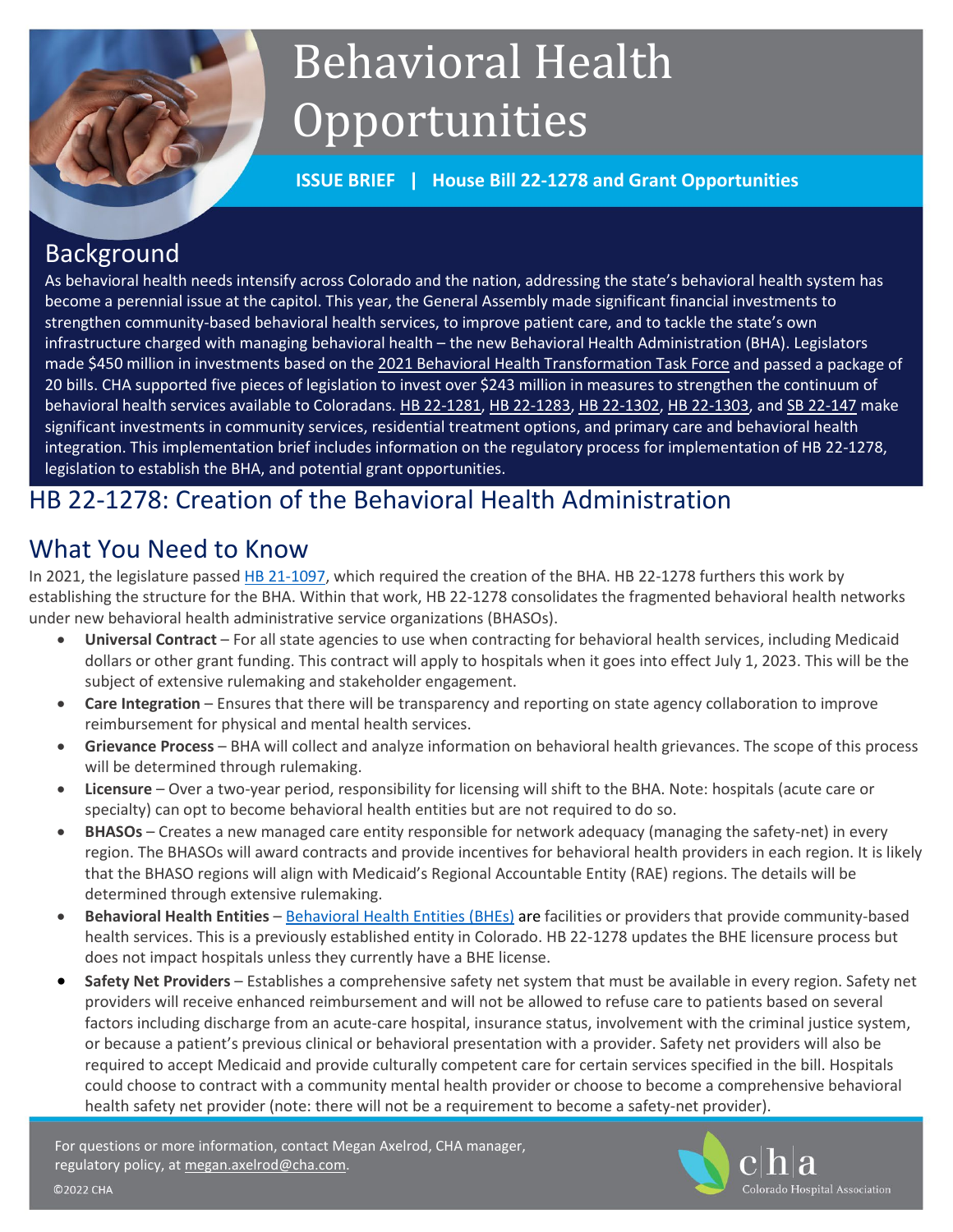# Behavioral Health **Opportunities**

**ISSUE BRIEF | House Bill 22-1278 and Grant Opportunities**

#### Background

As behavioral health needs intensify across Colorado and the nation, addressing the state's behavioral health system has become a perennial issue at the capitol. This year, the General Assembly made significant financial investments to strengthen community-based behavioral health services, to improve patient care, and to tackle the state's own infrastructure charged with managing behavioral health – the new Behavioral Health Administration (BHA). Legislators made \$450 million in investments based on the [2021 Behavioral Health Transformation Task Force](https://leg.colorado.gov/sites/default/files/images/bhttf_recommendations_report_final.pdf) and passed a package of 20 bills. CHA supported five pieces of legislation to invest over \$243 million in measures to strengthen the continuum of behavioral health services available to Coloradans. [HB 22-1281,](http://leg.colorado.gov/bills/hb22-1281) [HB 22-1283,](http://leg.colorado.gov/bills/hb22-1283) [HB 22-1302,](http://leg.colorado.gov/bills/hb22-1302) [HB 22-1303,](https://leg.colorado.gov/bills/hb22-1303) and [SB 22-147](http://leg.colorado.gov/bills/sb22-147) make significant investments in community services, residential treatment options, and primary care and behavioral health integration. This implementation brief includes information on the regulatory process for implementation of HB 22-1278, legislation to establish the BHA, and potential grant opportunities.

# HB 22-1278: Creation of the Behavioral Health Administration

# What You Need to Know

In 2021, the legislature passed [HB 21-1097,](https://leg.colorado.gov/bills/hb21-1097#:~:text=HB21-1097%20Establish%20Behavioral%20Health%20Administration%20Concerning%20recommendations%20from,in%20connection%20therewith%2C%20establishing%20a%20behavioral%20health%20administration.) which required the creation of the BHA. HB 22-1278 furthers this work by establishing the structure for the BHA. Within that work, HB 22-1278 consolidates the fragmented behavioral health networks under new behavioral health administrative service organizations (BHASOs).

- **Universal Contract** For all state agencies to use when contracting for behavioral health services, including Medicaid dollars or other grant funding. This contract will apply to hospitals when it goes into effect July 1, 2023. This will be the subject of extensive rulemaking and stakeholder engagement.
- **Care Integration** Ensures that there will be transparency and reporting on state agency collaboration to improve reimbursement for physical and mental health services.
- **Grievance Process** BHA will collect and analyze information on behavioral health grievances. The scope of this process will be determined through rulemaking.
- **Licensure** Over a two-year period, responsibility for licensing will shift to the BHA. Note: hospitals (acute care or specialty) can opt to become behavioral health entities but are not required to do so.
- **BHASOs** Creates a new managed care entity responsible for network adequacy (managing the safety-net) in every region. The BHASOs will award contracts and provide incentives for behavioral health providers in each region. It is likely that the BHASO regions will align with Medicaid's Regional Accountable Entity (RAE) regions. The details will be determined through extensive rulemaking.
- **Behavioral Health Entities** – [Behavioral Health Entities \(BHEs\)](https://sites.google.com/state.co.us/cdphebehavioralhealthentity/frequently-asked-questions-faqs) are facilities or providers that provide community-based health services. This is a previously established entity in Colorado. HB 22-1278 updates the BHE licensure process but does not impact hospitals unless they currently have a BHE license.
- **Safety Net Providers** Establishes a comprehensive safety net system that must be available in every region. Safety net providers will receive enhanced reimbursement and will not be allowed to refuse care to patients based on several factors including discharge from an acute-care hospital, insurance status, involvement with the criminal justice system, or because a patient's previous clinical or behavioral presentation with a provider. Safety net providers will also be required to accept Medicaid and provide culturally competent care for certain services specified in the bill. Hospitals could choose to contract with a community mental health provider or choose to become a comprehensive behavioral health safety net provider (note: there will not be a requirement to become a safety-net provider).

For questions or more information, contact Megan Axelrod, CHA manager, regulatory policy, at megan.axelrod@cha.com.



**©2022 CHA**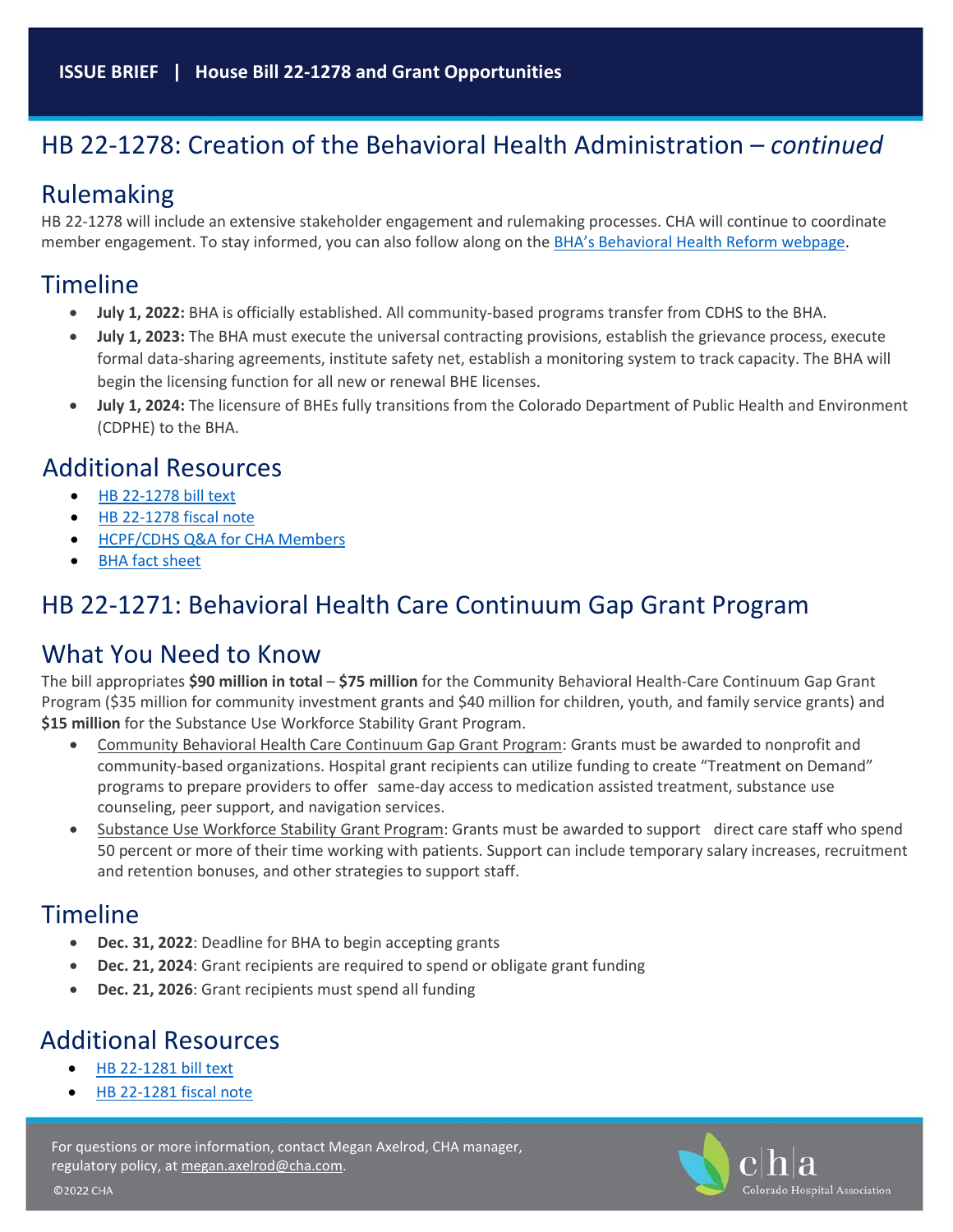# HB 22-1278: Creation of the Behavioral Health Administration *– continued*

#### Rulemaking

HB 22-1278 will include an extensive stakeholder engagement and rulemaking processes. CHA will continue to coordinate member engagement. To stay informed, you can also follow along on the [BHA's Behavioral Health Reform webpage.](https://cdhs.colorado.gov/about-cdhs/featured-initiatives/behavioral-health-reform/change-management)

#### Timeline

- **July 1, 2022:** BHA is officially established. All community-based programs transfer from CDHS to the BHA.
- **July 1, 2023:** The BHA must execute the universal contracting provisions, establish the grievance process, execute formal data-sharing agreements, institute safety net, establish a monitoring system to track capacity. The BHA will begin the licensing function for all new or renewal BHE licenses.
- **July 1, 2024:** The licensure of BHEs fully transitions from the Colorado Department of Public Health and Environment (CDPHE) to the BHA.

#### Additional Resources

- [HB 22-1278 bill text](https://leg.colorado.gov/sites/default/files/2022a_1278_signed.pdf)
- [HB 22-1278 fiscal note](https://leg.colorado.gov/sites/default/files/documents/2022A/bills/fn/2022a_hb1278_r2.pdf)
- [HCPF/CDHS Q&A for CHA Members](https://cha.com/wp-content/uploads/2022/06/4.19.22-BHC-HCPF-CDHS-QA.pdf)
- [BHA fact sheet](https://cha.com/wp-content/uploads/2022/06/BHA-Bill-Summary.pdf)

#### HB 22-1271: Behavioral Health Care Continuum Gap Grant Program

#### What You Need to Know

The bill appropriates **\$90 million in total** – **\$75 million** for the Community Behavioral Health-Care Continuum Gap Grant Program (\$35 million for community investment grants and \$40 million for children, youth, and family service grants) and **\$15 million** for the Substance Use Workforce Stability Grant Program.

- Community Behavioral Health Care Continuum Gap Grant Program: Grants must be awarded to nonprofit and community-based organizations. Hospital grant recipients can utilize funding to create "Treatment on Demand" programs to prepare providers to offer same-day access to medication assisted treatment, substance use counseling, peer support, and navigation services.
- Substance Use Workforce Stability Grant Program: Grants must be awarded to support direct care staff who spend 50 percent or more of their time working with patients. Support can include temporary salary increases, recruitment and retention bonuses, and other strategies to support staff.

#### **Timeline**

- **Dec. 31, 2022**: Deadline for BHA to begin accepting grants
- **Dec. 21, 2024**: Grant recipients are required to spend or obligate grant funding
- **Dec. 21, 2026**: Grant recipients must spend all funding

#### Additional Resources

- [HB 22-1281 bill text](https://leg.colorado.gov/sites/default/files/2022a_1281_signed.pdf)
- [HB 22-1281 fiscal note](https://leg.colorado.gov/sites/default/files/documents/2022A/bills/fn/2022a_hb1281_r2.pdf)

For questions or more information, contact Megan Axelrod, CHA manager, regulatory policy, at megan.axelrod@cha.com.